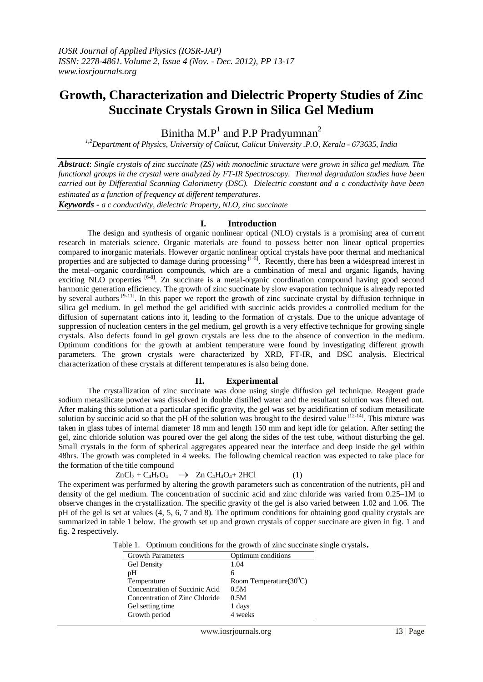# **Growth, Characterization and Dielectric Property Studies of Zinc Succinate Crystals Grown in Silica Gel Medium**

Binitha M.P<sup>1</sup> and P.P Pradyumnan<sup>2</sup>

*1,2Department of Physics, University of Calicut, Calicut University .P.O, Kerala - 673635, India* 

*Abstract*: *Single crystals of zinc succinate (ZS) with monoclinic structure were grown in silica gel medium. The functional groups in the crystal were analyzed by FT-IR Spectroscopy. Thermal degradation studies have been carried out by Differential Scanning Calorimetry (DSC). Dielectric constant and a c conductivity have been estimated as a function of frequency at different temperatures*.

*Keywords - a c conductivity, dielectric Property, NLO, zinc succinate*

# **I. Introduction**

The design and synthesis of organic nonlinear optical (NLO) crystals is a promising area of current research in materials science. Organic materials are found to possess better non linear optical properties compared to inorganic materials. However organic nonlinear optical crystals have poor thermal and mechanical properties and are subjected to damage during processing [1-5]. Recently, there has been a widespread interest in the metal–organic coordination compounds, which are a combination of metal and organic ligands, having exciting NLO properties <sup>[6-8]</sup>. Zn succinate is a metal-organic coordination compound having good second harmonic generation efficiency. The growth of zinc succinate by slow evaporation technique is already reported by several authors  $[9-11]$ . In this paper we report the growth of zinc succinate crystal by diffusion technique in silica gel medium. In gel method the gel acidified with succinic acids provides a controlled medium for the diffusion of supernatant cations into it, leading to the formation of crystals. Due to the unique advantage of suppression of nucleation centers in the gel medium, gel growth is a very effective technique for growing single crystals. Also defects found in gel grown crystals are less due to the absence of convection in the medium. Optimum conditions for the growth at ambient temperature were found by investigating different growth parameters. The grown crystals were characterized by XRD, FT-IR, and DSC analysis. Electrical characterization of these crystals at different temperatures is also being done.

## **II. Experimental**

The crystallization of zinc succinate was done using single diffusion gel technique. Reagent grade sodium metasilicate powder was dissolved in double distilled water and the resultant solution was filtered out. After making this solution at a particular specific gravity, the gel was set by acidification of sodium metasilicate solution by succinic acid so that the pH of the solution was brought to the desired value  $[12-14]$ . This mixture was taken in glass tubes of internal diameter 18 mm and length 150 mm and kept idle for gelation. After setting the gel, zinc chloride solution was poured over the gel along the sides of the test tube, without disturbing the gel. Small crystals in the form of spherical aggregates appeared near the interface and deep inside the gel within 48hrs. The growth was completed in 4 weeks. The following chemical reaction was expected to take place for the formation of the title compound

$$
ZnCl_2 + C_4\dot{H}_6O_4 \quad \rightarrow \quad Zn \ C_4H_4O_4 + 2HCl \tag{1}
$$

The experiment was performed by altering the growth parameters such as concentration of the nutrients, pH and density of the gel medium. The concentration of succinic acid and zinc chloride was varied from 0.25–1M to observe changes in the crystallization. The specific gravity of the gel is also varied between 1.02 and 1.06. The pH of the gel is set at values (4, 5, 6, 7 and 8). The optimum conditions for obtaining good quality crystals are summarized in table 1 below. The growth set up and grown crystals of copper succinate are given in fig. 1 and fig. 2 respectively.

|  | Table 1. Optimum conditions for the growth of zinc succinate single crystals. |  |  |  |
|--|-------------------------------------------------------------------------------|--|--|--|
|--|-------------------------------------------------------------------------------|--|--|--|

| <b>Growth Parameters</b>       | Optimum conditions         |  |  |
|--------------------------------|----------------------------|--|--|
| <b>Gel Density</b>             | 1.04                       |  |  |
| pΗ                             | 6                          |  |  |
| Temperature                    | Room Temperature $(30^0C)$ |  |  |
| Concentration of Succinic Acid | 0.5M                       |  |  |
| Concentration of Zinc Chloride | 0.5M                       |  |  |
| Gel setting time               | 1 days                     |  |  |
| Growth period                  | 4 weeks                    |  |  |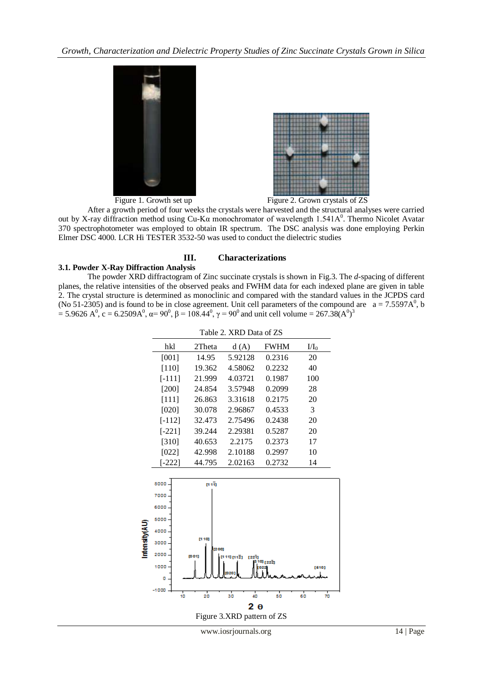

Figure 1. Growth set up Figure 2. Grown crystals of ZS

 After a growth period of four weeks the crystals were harvested and the structural analyses were carried out by X-ray diffraction method using Cu-Kα monochromator of wavelength 1.541A<sup>0</sup>. Thermo Nicolet Avatar 370 spectrophotometer was employed to obtain IR spectrum. The DSC analysis was done employing Perkin Elmer DSC 4000. LCR Hi TESTER 3532-50 was used to conduct the dielectric studies

# **III. Characterizations**

# **3.1. Powder X-Ray Diffraction Analysis**

The powder XRD diffractogram of Zinc succinate crystals is shown in Fig.3. The *d*-spacing of different planes, the relative intensities of the observed peaks and FWHM data for each indexed plane are given in table 2. The crystal structure is determined as monoclinic and compared with the standard values in the JCPDS card (No 51-2305) and is found to be in close agreement. Unit cell parameters of the compound are  $a = 7.5597A^0$ , b = 5.9626 A<sup>0</sup>, c = 6.2509A<sup>0</sup>, α= 90<sup>0</sup>, β = 108.44<sup>0</sup>, γ = 90<sup>0</sup> and unit cell volume = 267.38(A<sup>0</sup>)<sup>3</sup>

|             | Table 2. XRD Data of ZS |                            |                   |                      |               |  |  |  |  |
|-------------|-------------------------|----------------------------|-------------------|----------------------|---------------|--|--|--|--|
|             | hkl                     | 2Theta                     | d(A)              | <b>FWHM</b>          | $\rm{U1_0}$   |  |  |  |  |
|             | [001]                   | 14.95                      | 5.92128           | 0.2316               | 20            |  |  |  |  |
|             | $[110]$                 | 19.362                     | 4.58062           | 0.2232               | 40            |  |  |  |  |
|             | $[-111]$                | 21.999                     | 4.03721           | 0.1987               | 100           |  |  |  |  |
|             | $[200]$                 | 24.854                     | 3.57948           | 0.2099               | 28            |  |  |  |  |
|             | $[111]$                 | 26.863                     | 3.31618           | 0.2175               | 20            |  |  |  |  |
|             | [020]                   | 30.078                     | 2.96867           | 0.4533               | 3             |  |  |  |  |
|             | $[-112]$                | 32.473                     | 2.75496           | 0.2438               | 20            |  |  |  |  |
|             | $[-221]$                | 39.244                     | 2.29381           | 0.5287               | 20            |  |  |  |  |
|             | [310]                   | 40.653                     | 2.2175            | 0.2373               | 17            |  |  |  |  |
|             | [022]                   | 42.998                     | 2.10188           | 0.2997               | 10            |  |  |  |  |
|             | $[-222]$                | 44.795                     | 2.02163           | 0.2732               | 14            |  |  |  |  |
|             |                         |                            |                   |                      |               |  |  |  |  |
|             | 8000                    | (111)                      |                   |                      |               |  |  |  |  |
|             | 7000                    |                            |                   |                      |               |  |  |  |  |
|             | 6000                    |                            |                   |                      |               |  |  |  |  |
|             | 5000                    |                            |                   |                      |               |  |  |  |  |
| mensity(AU) | 4000                    |                            |                   |                      |               |  |  |  |  |
|             | 3000                    | [110]                      |                   |                      |               |  |  |  |  |
|             | 2000                    | (200)<br>[001]             |                   |                      |               |  |  |  |  |
|             | 1000                    |                            | 11) M121<br>12211 | <sup>10]</sup> [22Z] |               |  |  |  |  |
|             | ٥                       |                            |                   |                      | [610]         |  |  |  |  |
|             | $-1000$                 |                            |                   |                      |               |  |  |  |  |
|             | 10                      | 20                         | т<br>30<br>40     | 50                   | т<br>70<br>60 |  |  |  |  |
|             | 2 ө                     |                            |                   |                      |               |  |  |  |  |
|             |                         | Figure 3.XRD pattern of ZS |                   |                      |               |  |  |  |  |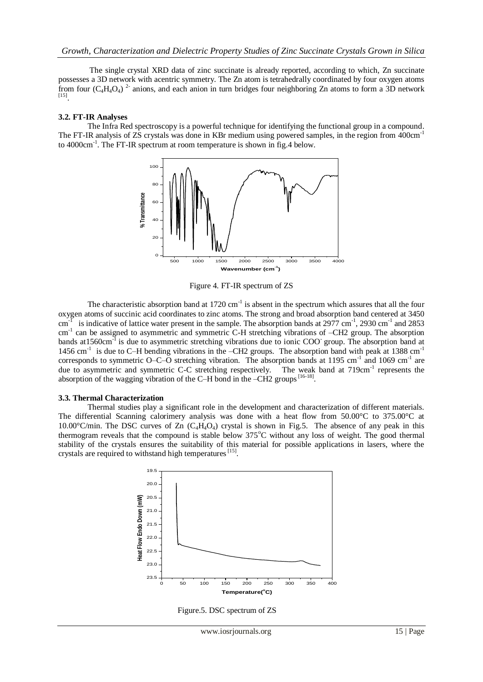The single crystal XRD data of zinc succinate is already reported, according to which, Zn succinate possesses a 3D network with acentric symmetry. The Zn atom is tetrahedrally coordinated by four oxygen atoms possesses a 3D network with acentric symmetry. The Zn atom is tetrahedrally coordinated by four oxygen atoms from four  $(C_4H_4O_4)^2$  anions, and each anion in turn bridges four neighboring Zn atoms to form a 3D network  $[15]$ .

#### **3.2. FT-IR Analyses**

The Infra Red spectroscopy is a powerful technique for identifying the functional group in a compound. The FT-IR analysis of ZS crystals was done in KBr medium using powered samples, in the region from 400cm<sup>-1</sup> to 4000cm<sup>-1</sup>. The FT-IR spectrum at room temperature is shown in fig.4 below.



Figure 4. FT-IR spectrum of ZS

The characteristic absorption band at  $1720 \text{ cm}^{-1}$  is absent in the spectrum which assures that all the four oxygen atoms of succinic acid coordinates to zinc atoms. The strong and broad absorption band centered at 3450  $cm^{-1}$ is indicative of lattice water present in the sample. The absorption bands at 2977 cm<sup>-1</sup>, 2930 cm<sup>-1</sup> and 2853 cm<sup>-1</sup> can be assigned to asymmetric and symmetric C-H stretching vibrations of -CH2 group. The absorption bands at1560cm<sup>-1</sup> is due to asymmetric stretching vibrations due to ionic COO<sup>-</sup> group. The absorption band at 1456 cm<sup>-1</sup> is due to C–H bending vibrations in the –CH2 groups. The absorption band with peak at 1388 cm<sup>-1</sup> corresponds to symmetric O–C–O stretching vibration. The absorption bands at 1195 cm<sup>-1</sup> and 1069 cm<sup>-1</sup> are due to asymmetric and symmetric C-C stretching respectively. The weak band at  $719 \text{cm}^{-1}$  represents the absorption of the wagging vibration of the C–H bond in the  $-CH2$  groups  $[16-18]$ .

#### **3.3. Thermal Characterization**

Thermal studies play a significant role in the development and characterization of different materials. The differential Scanning calorimery analysis was done with a heat flow from 50.00°C to 375.00°C at 10.00 $^{\circ}$ C/min. The DSC curves of Zn (C<sub>4</sub>H<sub>4</sub>O<sub>4</sub>) crystal is shown in Fig.5. The absence of any peak in this thermogram reveals that the compound is stable below 375<sup>o</sup>C without any loss of weight. The good thermal stability of the crystals ensures the suitability of this material for possible applications in lasers, where the crystals are required to withstand high temperatures [15].



Figure.5. DSC spectrum of ZS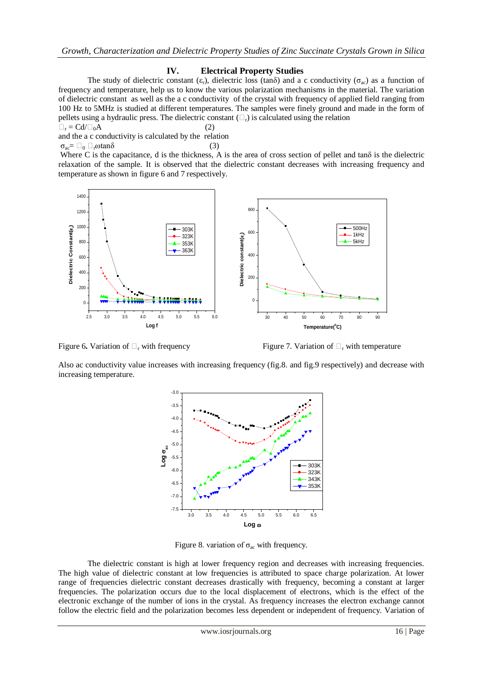# **IV. Electrical Property Studies**

The study of dielectric constant ( $\varepsilon_r$ ), dielectric loss (tan $\delta$ ) and a c conductivity ( $\sigma_{ac}$ ) as a function of frequency and temperature, help us to know the various polarization mechanisms in the material. The variation of dielectric constant as well as the a c conductivity of the crystal with frequency of applied field ranging from 100 Hz to 5MHz is studied at different temperatures. The samples were finely ground and made in the form of pellets using a hydraulic press. The dielectric constant  $(\Box_r)$  is calculated using the relation

$$
\Box_{\rm r} = \text{Cd}/\Box_0 \text{A} \tag{2}
$$

and the a c conductivity is calculated by the relation  

$$
\sigma_{ac} = \Box_0 \Box_r \omega \tan \delta
$$
 (3)

Where C is the capacitance, d is the thickness, A is the area of cross section of pellet and tan $\delta$  is the dielectric relaxation of the sample. It is observed that the dielectric constant decreases with increasing frequency and temperature as shown in figure 6 and 7 respectively.



Figure 6. Variation of  $\Box$ <sub>r</sub> with frequency Figure 7. Variation of  $\Box$ <sub>r</sub> with temperature

Also ac conductivity value increases with increasing frequency (fig.8. and fig.9 respectively) and decrease with increasing temperature.



Figure 8. variation of  $\sigma_{ac}$  with frequency.

The dielectric constant is high at lower frequency region and decreases with increasing frequencies. The high value of dielectric constant at low frequencies is attributed to space charge polarization. At lower range of frequencies dielectric constant decreases drastically with frequency, becoming a constant at larger frequencies. The polarization occurs due to the local displacement of electrons, which is the effect of the electronic exchange of the number of ions in the crystal. As frequency increases the electron exchange cannot follow the electric field and the polarization becomes less dependent or independent of frequency. Variation of